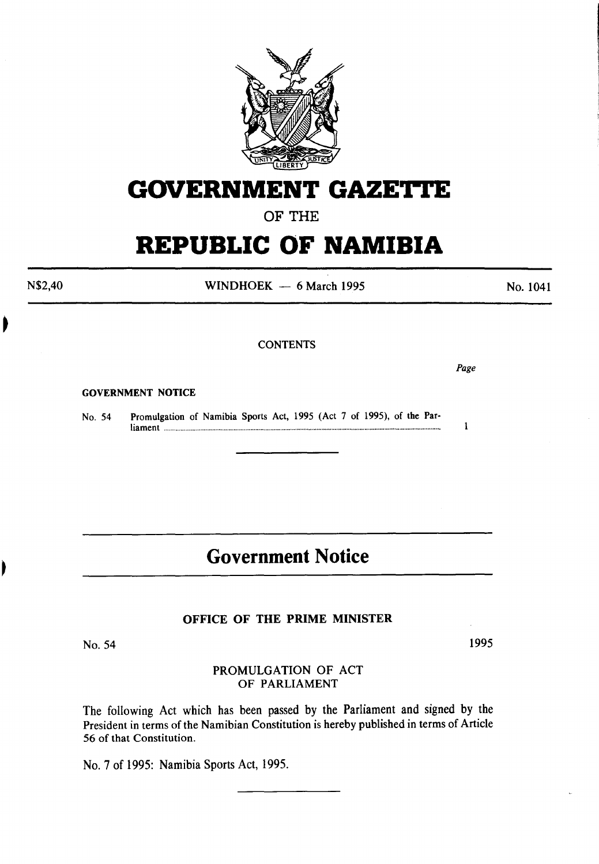

# **GOVERNMENT GAZETTE**

### OF THE

# **REPUBLIC OF NAMIBIA**

WINDHOEK  $-6$  March 1995

## **CONTENTS**

*Page* 

 $\mathbf{1}$ 

GOVERNMENT NOTICE

N\$2,40

No. 54 Promulgation of Namibia Sports Act, 1995 (Act 7 of 1995), of the Parliament ...................................................................................................................................................................... .

### **Government Notice**

#### OFFICE OF THE PRIME MINISTER

No. 54

1995

#### PROMULGATION OF ACT OF PARLIAMENT

The following Act which has been passed by the Parliament and signed by the President in terms of the Namibian Constitution is hereby published in terms of Article 56 of that Constitution.

No. 7 of 1995: Namibia Sports Act, 1995.

No. 1041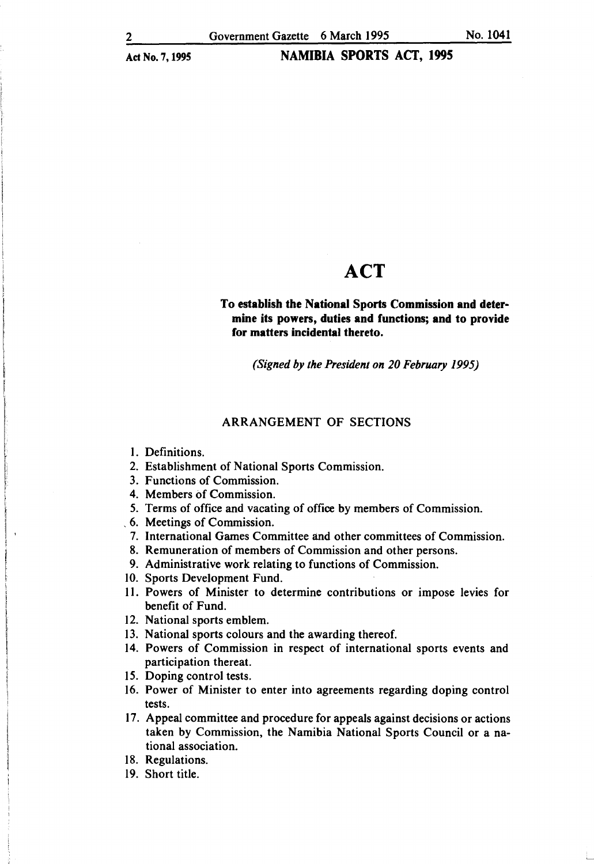### **ACT**

#### To establish the National Sports Commission and determine its powers, duties and functions; and to provide for matters incidental thereto.

*(Signed by the President on 20 February 1995)* 

#### ARRANGEMENT OF SECTIONS

I. Definitions.

I I  $\vert$  .

I

- 2. Establishment of National Sports Commission.
- 3. Functions of Commission.
- 4. Members of Commission.
- *5.* Terms of office and vacating of office by members of Commission.
- , 6. Meetings of Commission.
- 7. International Games Committee and other committees of Commission.
- 8. Remuneration of members of Commission and other persons.
- 9. Administrative work relating to functions of Commission.
- 10. Sports Development Fund.
- 11. Powers of Minister to determine contributions or impose levies for benefit of Fund.
- 12. National sports emblem.
- 13. National sports colours and the awarding thereof.
- 14. Powers of Commission in respect of international sports events and participation thereat.
- 15. Doping control tests.
- 16. Power of Minister to enter into agreements regarding doping control tests.
- 17. Appeal committee and procedure for appeals against decisions or actions taken by Commission, the Namibia National Sports Council or a national association.
- 18. Regulations.
- 19. Short title.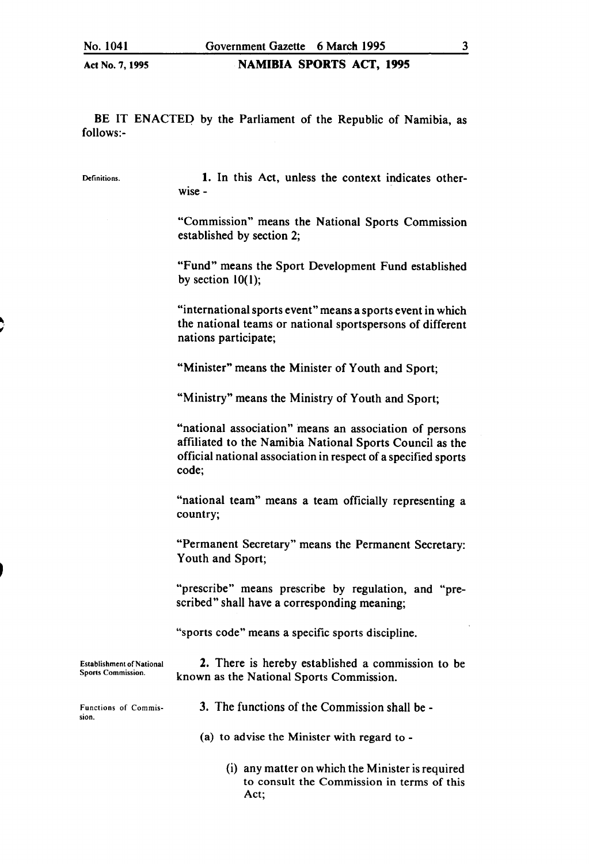BE IT ENACTED by the Parliament of the Republic of Namibia, as follows:-

Definitions.

1. In this Act, unless the context indicates otherwise-

"Commission" means the National Sports Commission established by section 2;

"Fund" means the Sport Development Fund established by section  $10(1)$ ;

"international sports event" means a sports event in which the national teams or national sportspersons of different nations participate;

"Minister" means the Minister of Youth and Sport;

"Ministry" means the Ministry of Youth and Sport;

"national association" means an association of persons affiliated to the Namibia National Sports Council as the official national association in respect of a specified sports code;

"national team" means a team officially representing a country;

"Permanent Secretary" means the Permanent Secretary: Youth and Sport;

"prescribe" means prescribe by regulation, and "prescribed" shall have a corresponding meaning;

"sports code" means a specific sports discipline.

2. There is hereby established a commission to be known as the National Sports Commission.

Establishment of National Sports Commission.

Functions of Commission.

- 3. The functions of the Commission shall be -
- (a) to advise the Minister with regard to-
	- (i) any matter on which the Minister is required to consult the Commission in terms of this Act;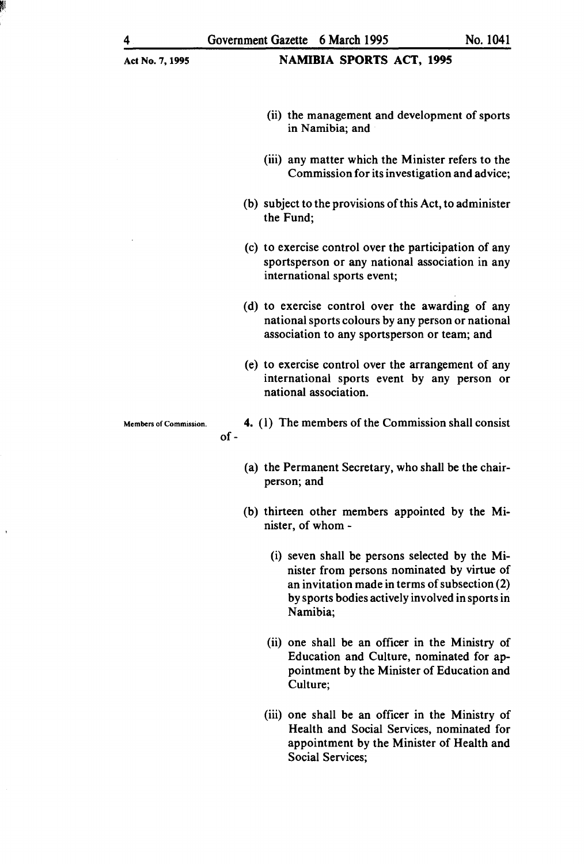- (ii) the management and development of sports in Namibia; and
- (iii) any matter which the Minister refers to the Commission for its investigation and advice;
- (b) subject to the provisions of this Act, to administer the Fund;
- (c) to exercise control over the participation of any sportsperson or any national association in any international sports event;
- (d) to exercise control over the awarding of any national sports colours by any person or national association to any sportsperson or team; and
- (e) to exercise control over the arrangement of any international sports event by any person or national association.

Members of Commission.

of-

- 4. (I) The members of the Commission shall consist
- (a) the Permanent Secretary, who shall be the chairperson; and
- (b) thirteen other members appointed by the Minister, of whom-
	- (i) seven shall be persons selected by the Minister from persons nominated by virtue of an invitation made in terms of subsection (2) by sports bodies actively involved in sports in Namibia;
	- (ii) one shall be an officer in the Ministry of Education and Culture, nominated for appointment by the Minister of Education and Culture;
	- (iii) one shall be an officer in the Ministry of Health and Social Services, nominated for appointment by the Minister of Health and Social Services;

 $\mathcal{L}$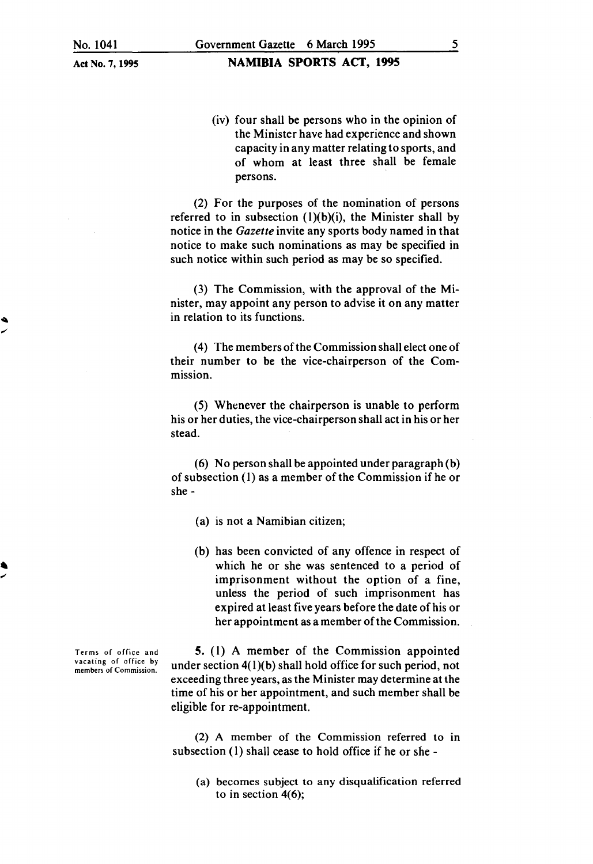**NAMIBIA SPORTS ACT, 1995** 

(iv) four shall be persons who in the opinion of the Minister have had experience and shown capacity in any matter relating to sports, and of whom at least three shall be female persons.

(2) For the purposes of the nomination of persons referred to in subsection  $(1)(b)(i)$ , the Minister shall by notice in the *Gazette* invite any sports body named in that notice to make such nominations as may be specified in such notice within such period as may be so specified.

(3) The Commission, with the approval of the Minister, may appoint any person to advise it on any matter in relation to its functions.

(4) The members of the Commission shall elect one of their number to be the vice-chairperson of the Commission.

(5) Whenever the chairperson is unable to perform his or her duties, the vice-chairperson shall act in his or her stead.

( 6) No person shall be appointed under paragraph (b) of subsection (I) as a member of the Commission if he or she-

- (a) is not a Namibian citizen;
- (b) has been convicted of any offence in respect of which he or she was sentenced to a period of imprisonment without the option of a fine, unless the period of such imprisonment has expired at least five years before the date of his or her appointment as a member of the Commission.

5. (1) A member of the Commission appointed under section  $4(1)(b)$  shall hold office for such period, not exceeding three years, as the Minister may determine at the time of his or her appointment, and such member shall be eligible for re-appointment.

(2) A member of the Commission referred to in subsection (I) shall cease to hold office if he or she -

(a) becomes subject to any disqualification referred to in section 4(6);

Terms of office and vacating of office by members of Commission.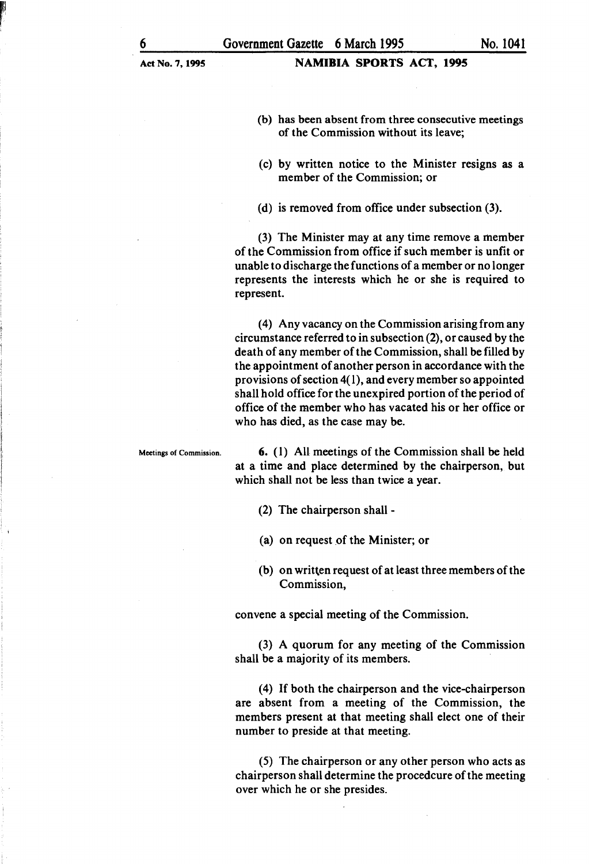- (b) has been absent from three consecutive meetings of the Commission without its leave;
- (c) by written notice to the Minister resigns as a member of the Commission; or
- (d) is removed from office under subsection (3).

(3) The Minister may at any time remove a member of the Commission from office if such member is unfit or unable to discharge the functions of a member or no longer represents the interests which he or she is required to represent.

( 4) Any vacancy on the Commission arising from any circumstance referred to in subsection (2), or caused by the death of any member of the Commission, shall be filled by the appointment of another person in accordance with the provisions of section  $4(1)$ , and every member so appointed shall hold office for the unexpired portion of the period of office of the member who has vacated his or her office or who has died, as the case may be.

Meetings of Commission. 6. (1) All meetings of the Commission shall be held at a time and place determined by the chairperson, but which shall not be less than twice a year.

- (2) The chairperson shall -
- (a) on request of the Minister; or
- (b) on written request of at least three members of the Commission,

convene a special meeting of the Commission.

(3) A quorum for any meeting of the Commission shall be a majority of its members.

(4) If both the chairperson and the vice-chairperson are absent from a meeting of the Commission, the members present at that meeting shall elect one of their number to preside at that meeting.

(5) The chairperson or any other person who acts as chairperson shall determine the procedcure of the meeting over which he or she presides.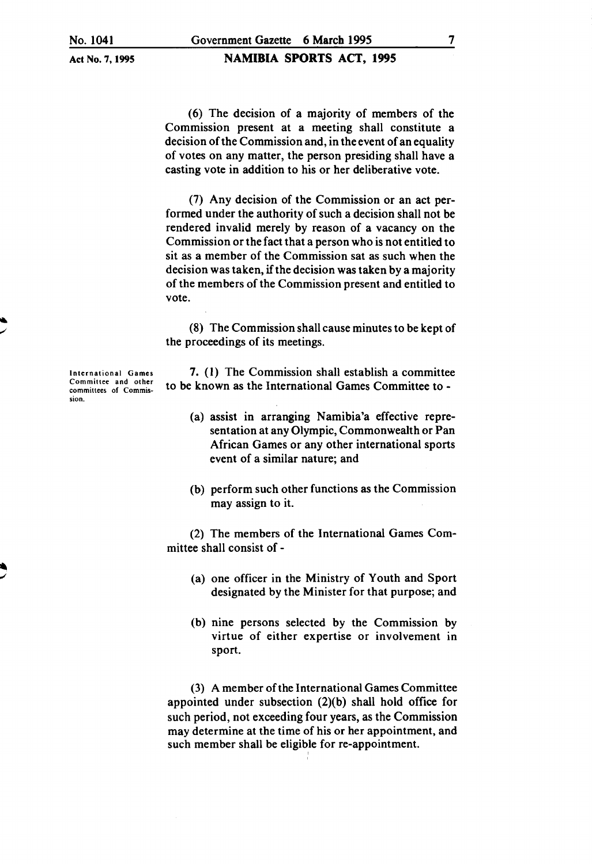#### NAMIBIA SPORTS ACT, 1995

(6) The decision of a majority of members of the Commission present at a meeting shall constitute a decision of the Commission and, in the event of an equality of votes on any matter, the person presiding shall have a casting vote in addition to his or her deliberative vote.

(7) Any decision of the Commission or an act performed under the authority of such a decision shall not be rendered invalid merely by reason of a vacancy on the Commission or the fact that a person who is not entitled to sit as a member of the Commission sat as such when the decision was taken, if the decision was taken by a majority of the members of the Commission present and entitled to vote.

(8) The Commission shall cause minutes to be kept of the proceedings of its meetings.

7. (I) The Commission shall establish a committee to be known as the International Games Committee to -

- (a) assist in arranging Namibia'a effective representation at any Olympic, Commonwealth or Pan African Games or any other international sports event of a similar nature; and
- (b) perform such other functions as the Commission may assign to it.

(2) The members of the International Games Committee shall consist of -

- (a) one officer in the Ministry of Youth and Sport designated by the Minister for that purpose; and
- (b) nine persons selected by the Commission by virtue of either expertise or involvement in sport.

(3) A member of the International Games Committee appointed under subsection (2)(b) shall hold office for such period, not exceeding four years, as the Commission may determine at the time of his or her appointment, and such member shall be eligible for re-appointment.

International Games Committee and other committees of Commission.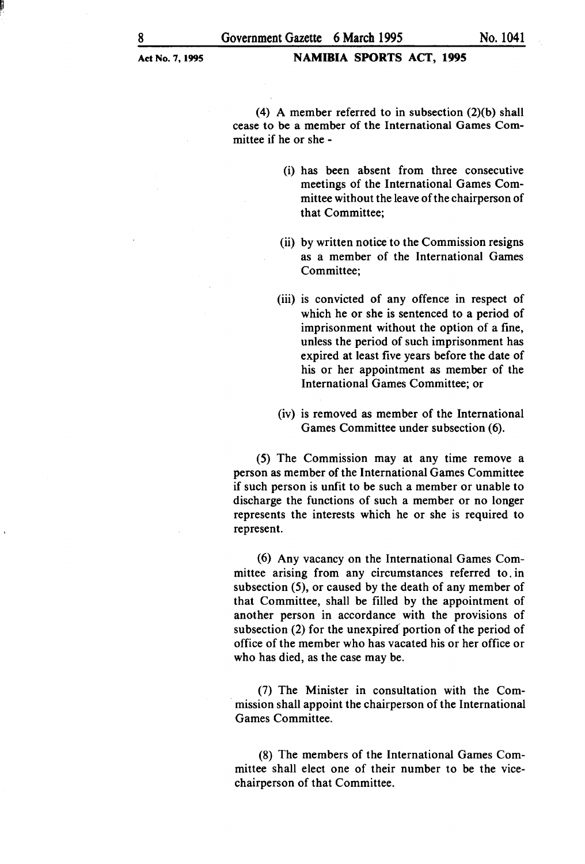(4) A member referred to in subsection (2)(b) shall cease to be a member of the International Games Committee if he or she -

- (i) has been absent from three consecutive meetings of the International Games Committee without the leave of the chairperson of that Committee;
- (ii) by written notice to the Commission resigns as a member of the International Games Committee;
- (iii) is convicted of any offence in respect of which he or she is sentenced to a period of imprisonment without the option of a fine, unless the period of such imprisonment has expired at least five years before the date of his or her appointment as member of the International Games Committee; or
- (iv) is removed as member of the International Games Committee under subsection (6).

(5) The Commission may at any time remove a person as member of the International Games Committee if such person is unfit to be such a member or unable to discharge the functions of such a member or no longer represents the interests which he or she is required to represent.

(6) Any vacancy on the International Games Committee arising from any circumstances referred to. in subsection (5), or caused by the death of any member of that Committee, shall be filled by the appointment of another person in accordance with the provisions of subsection (2) for the unexpired portion of the period of office of the member who has vacated his or her office or who has died, as the case may be.

(7) The Minister in consultation with the Commission shall appoint the chairperson of the International Games Committee.

(8) The members of the International Games Committee shall elect one of their number to be the vicechairperson of that Committee.

 $\mathbf{r}_1$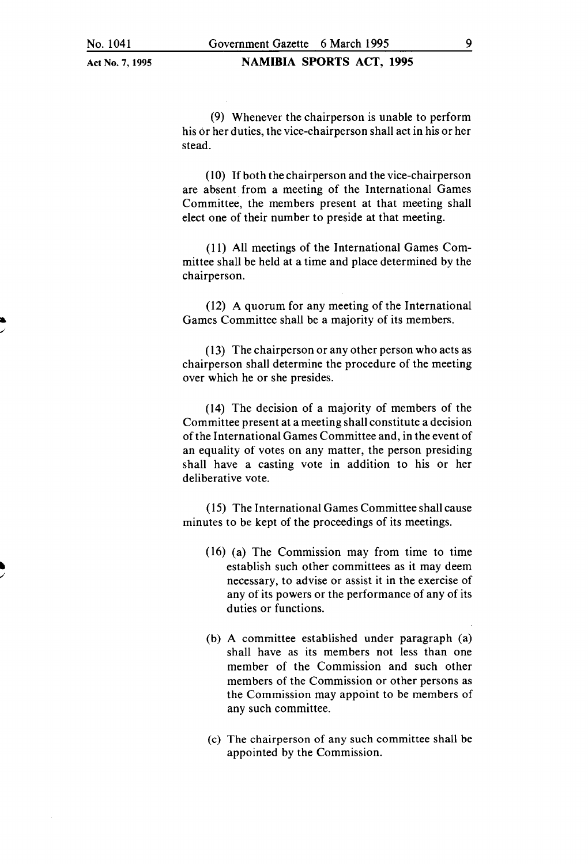• ./

Act No.7, 1995

#### **NAMIBIA SPORTS ACT, 1995**

(9) Whenever the chairperson is unable to perform his or her duties, the vice-chairperson shall act in his or her stead.

 $(10)$  If both the chairperson and the vice-chairperson are absent from a meeting of the International Games Committee, the members present at that meeting shall elect one of their number to preside at that meeting.

(II) All meetings of the International Games Committee shall be held at a time and place determined by the chairperson.

(12) A quorum for any meeting of the International Games Committee shall be a majority of its members .

( 13) The chairperson or any other person who acts as chairperson shall determine the procedure of the meeting over which he or she presides.

(14) The decision of a majority of members of the Committee present at a meeting shall constitute a decision of the International Games Committee and, in the event of an equality of votes on any matter, the person presiding shall have a casting vote in addition to his or her deliberative vote.

( 15) The International Games Committee shall cause minutes to be kept of the proceedings of its meetings.

- (16) (a) The Commission may from time to time establish such other committees as it may deem necessary, to advise or assist it in the exercise of any of its powers or the performance of any of its duties or functions.
- (b) A committee established under paragraph (a) shall have as its members not less than one member of the Commission and such other members of the Commission or other persons as the Commission may appoint to be members of any such committee.
- (c) The chairperson of any such committee shall be appointed by the Commission.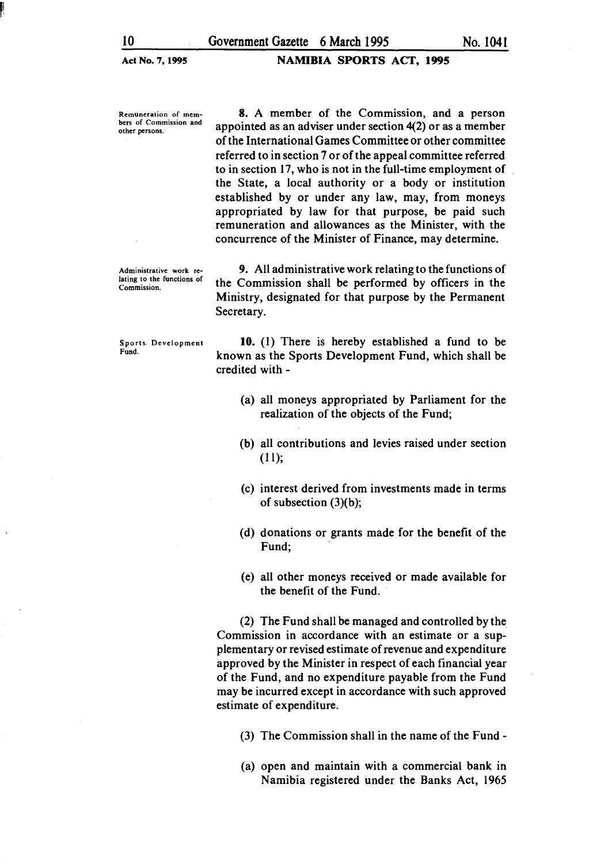NAMIBIA SPORTS ACT, 1995

Remuneration of members of Commission and other persons.

Administrative work relating to the functions of Commission.

Sports. Development Fund.

8. A member of the Commission, and a person appointed as an adviser under section 4(2) or as a member of the International Games Committee or other committee referred to in section 7 or of the appeal committee referred to in section 17, who is not in the full-time employment of the State, a local authority or a body or institution established by or under any law, may, from moneys appropriated by law for that purpose, be paid such remuneration and allowances as the Minister, with the concurrence of the Minister of Finance, may determine.

9. All administrative work relating to the functions of the Commission shall be performed by officers in the Ministry, designated for that purpose by the Permanent Secretary.

10. (I) There is hereby established a fund to be known as the Sports Development Fund, which shall be credited with -

- (a) all moneys appropriated by Parliament for the realization of the objects of the Fund;
- (b) all contributions and levies raised under section (II);
- (c) interest derived from investments made in terms of subsection  $(3)(b)$ ;
- (d) donations or grants made for the benefit of the Fund;
- (e) all other moneys received or made available for the benefit of the Fund.

(2) The Fund shall be managed and controlled by the Commission in accordance with an estimate or a supplementary or revised estimate of revenue and expenditure approved by the Minister in respect of each financial year of the Fund, and no expenditure payable from the Fund may be incurred except in accordance with such approved estimate of expenditure.

- (3) The Commission shall in the name of the Fund -
- (a) open and maintain with a commercial bank in Namibia registered under the Banks Act, 1965

f!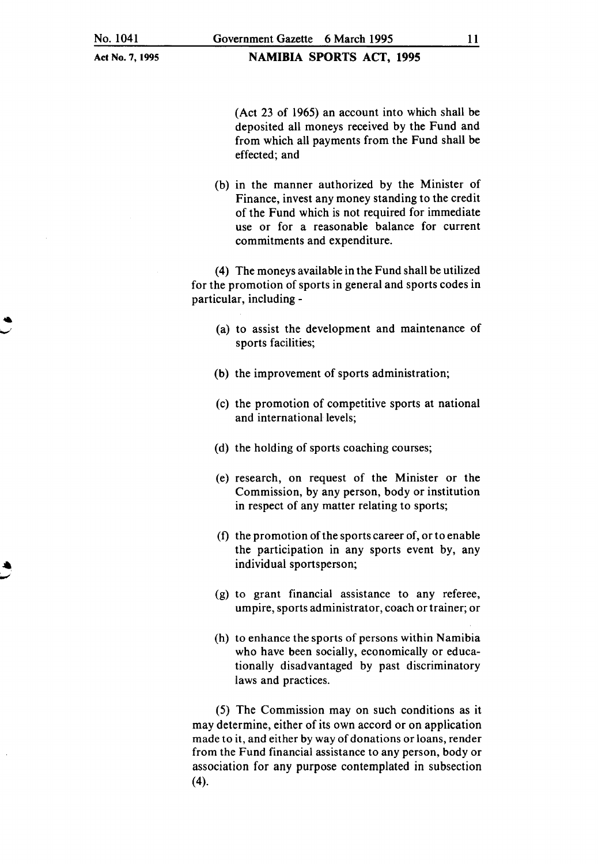NAMIBIA SPORTS ACT, 1995

(Act 23 of 1965) an account into which shall be deposited all moneys received by the Fund and from which all payments from the Fund shall be effected; and

(b) in the manner authorized by the Minister of Finance, invest any money standing to the credit of the Fund which is not required for immediate use or for a reasonable balance for current commitments and expenditure.

(4) The moneys available in the Fund shall be utilized for the promotion of sports in general and sports codes in particular, including-

- (a) to assist the development and maintenance of sports facilities;
- (b) the improvement of sports administration;
- (c) the promotion of competitive sports at national and international levels;
- (d) the holding of sports coaching courses;
- (e) research, on request of the Minister or the Commission, by any person, body or institution in respect of any matter relating to sports;
- (f) the promotion of the sports career of, or to enable the participation in any sports event by, any individual sportsperson;
- (g) to grant financial assistance to any referee, umpire, sports administrator, coach or trainer; or
- (h) to enhance the sports of persons within Namibia who have been socially, economically or educationally disadvantaged by past discriminatory laws and practices.

(5) The Commission may on such conditions as it may determine, either of its own accord or on application made to it, and either by way of donations or loans, render from the Fund financial assistance to any person, body or association for any purpose contemplated in subsection (4).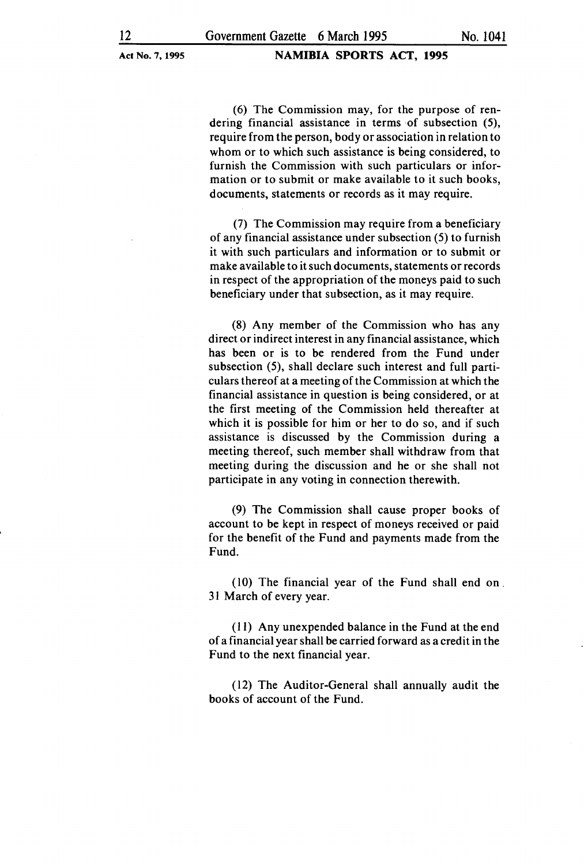#### NAMIBIA SPORTS ACT, 1995

(6) The Commission may, for the purpose of rendering financial assistance in terms of subsection (5), require from the person, body or association in relation to whom or to which such assistance is being considered, to furnish the Commission with such particulars or information or to submit or make available to it such books, documents, statements or records as it may require.

(7) The Commission may require from a beneficiary of any financial assistance under subsection (5) to furnish it with such particulars and information or to submit or make available to it such documents, statements or records in respect of the appropriation of the moneys paid to such beneficiary under that subsection, as it may require.

(8) Any member of the Commission who has any direct or indirect interest in any financial assistance, which has been or is to be rendered from the Fund under subsection (5), shall declare such interest and full particulars thereof at a meeting of the Commission at which the financial assistance in question is being considered, or at the first meeting of the Commission held thereafter at which it is possible for him or her to do so, and if such assistance is discussed by the Commission during a meeting thereof, such member shall withdraw from that meeting during the discussion and he or she shall not participate in any voting in connection therewith.

(9) The Commission shall cause proper books of account to be kept in respect of moneys received or paid for the benefit of the Fund and payments made from the Fund.

 $(10)$  The financial year of the Fund shall end on. 3I March of every year.

(II) Any unexpended balance in the Fund at the end of a financial year shall be carried forward as a credit in the Fund to the next financial year.

(12) The Auditor-General shall annually audit the books of account of the Fund.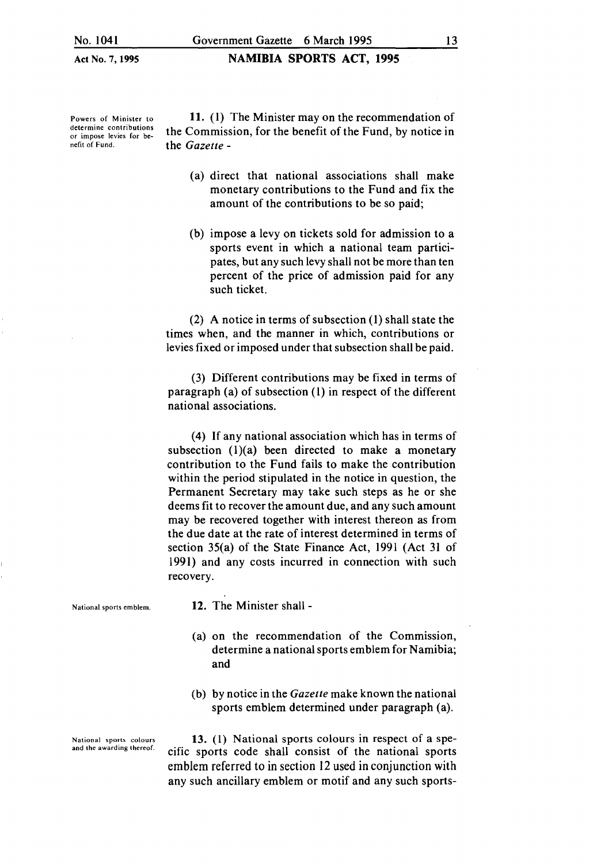Powers of Minister to determine contributions or impose levies for benefit of Fund.

11. (I) The Minister may on the recommendation of the Commission, for the benefit of the Fund, by notice in the *Gazette* -

NAMIBIA SPORTS ACT, 1995

- (a) direct that national associations shall make monetary contributions to the Fund and fix the amount of the contributions to be so paid;
- (b) impose a levy on tickets sold for admission to a sports event in which a national team participates, but any such levy shall not be more than ten percent of the price of admission paid for any such ticket.

(2) A notice in terms of subsection (I) shall state the times when, and the manner in which, contributions or levies fixed or imposed under that subsection shall be paid.

(3) Different contributions may be fixed in terms of paragraph (a) of subsection (1) in respect of the different national associations.

(4) If any national association which has in terms of subsection  $(1)(a)$  been directed to make a monetary contribution to the Fund fails to make the contribution within the period stipulated in the notice in question, the Permanent Secretary may take such steps as he or she deems fit to recover the amount due, and any such amount may be recovered together with interest thereon as from the due date at the rate of interest determined in terms of section 35(a) of the State Finance Act, 1991 (Act 31 of 1991) and any costs incurred in connection with such recovery.

12. The Minister shall -

- (a) on the recommendation of the Commission, determine a national sports emblem for Namibia; and
- (b) by notice in the *Gazette* make known the national sports emblem determined under paragraph (a).

13. (1) National sports colours in respect of a specific sports code shall consist of the national sports emblem referred to in section 12 used in conjunction with any such ancillary emblem or motif and any such sports-

National sports emblem.

National sports colours and the awarding thereof.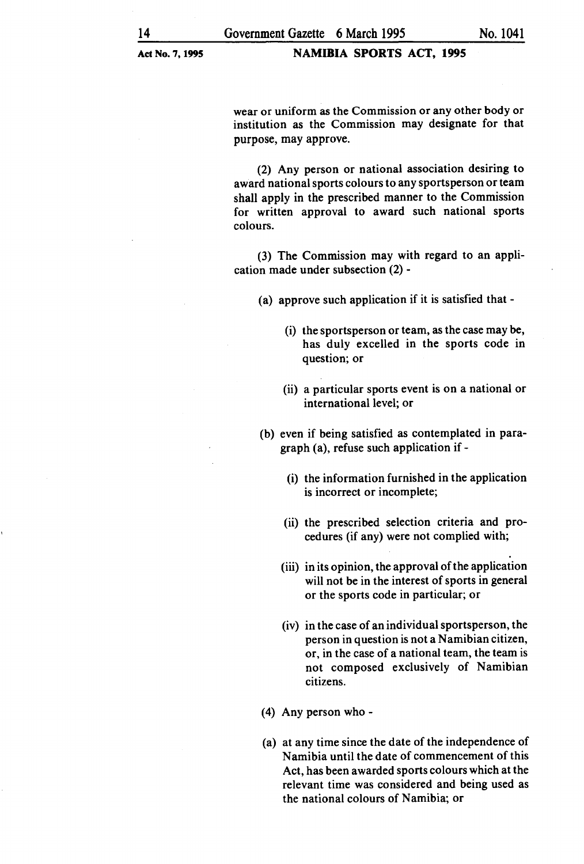#### NAMIBIA SPORTS ACT, 1995

wear or uniform as the Commission or any other body or institution as the Commission may designate for that purpose, may approve.

(2) Any person or national association desiring to award national sports colours to any sportsperson or team shall apply in the prescribed manner to the Commission for written approval to award such national sports colours.

(3) The Commission may with regard to an application made under subsection (2) -

(a) approve such application if it is satisfied that-

- (i) the sports person or team, as the case may be, has duly excelled in the sports code in question; or
- (ii) a particular sports event is on a national or international level; or
- (b) even if being satisfied as contemplated in paragraph (a), refuse such application if-
	- (i) the information furnished in the application is incorrect or incomplete;
	- (ii) the prescribed selection criteria and procedures (if any) were not complied with;
	- (iii) in its opinion, the approval of the application will not be in the interest of sports in general or the sports code in particular; or
	- (iv) in the case of an individual sports person, the person in question is not a Namibian citizen, or, in the case of a national team, the team is not composed exclusively of Namibian citizens.
- ( 4) Any person who -
- (a) at any time since the date of the independence of Namibia until the date of commencement of this Act, has been awarded sports colours which at the relevant time was considered and being used as the national colours of Namibia; or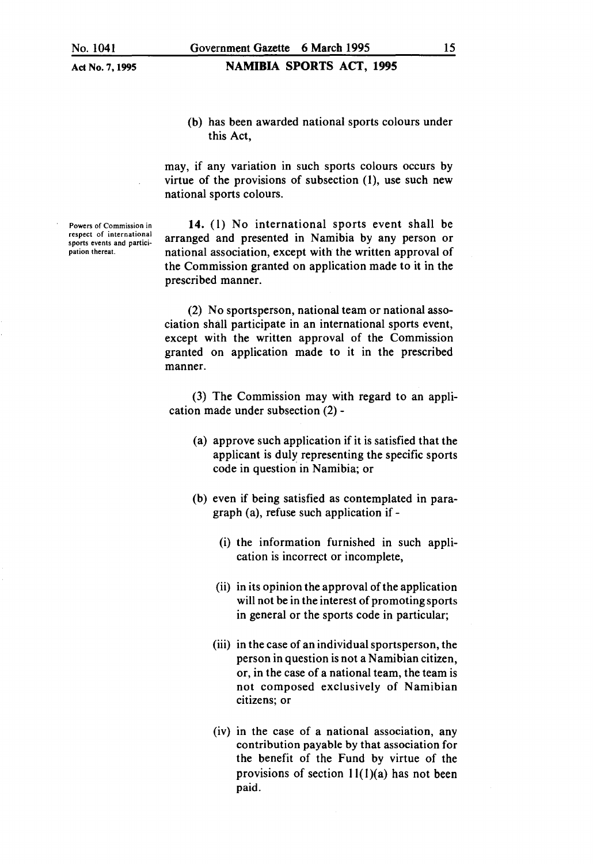NAMIBIA SPORTS ACT, 1995

(b) has been awarded national sports colours under this Act,

may, if any variation in such sports colours occurs by virtue of the provisions of subsection  $(1)$ , use such new national sports colours.

14. (I) No international sports event shall be arranged and presented in Namibia by any person or national association, except with the written approval of the Commission granted on application made to it in the prescribed manner.

(2) No sportsperson, national team or national association shall participate in an international sports event, except with the written approval of the Commission granted on application made to it in the prescribed manner.

(3) The Commission may with regard to an application made under subsection (2)-

- (a) approve such application if it is satisfied that the applicant is duly representing the specific sports code in question' in Namibia; or
- (b) even if being satisfied as contemplated in paragraph (a), refuse such application if-
	- (i) the information furnished in such application is incorrect or incomplete,
	- (ii) in its opinion the approval of the application will not be in the interest of promoting sports in general or the sports code in particular;
	- (iii) in the case of an individual sportsperson, the person in question is not a Namibian citizen, or, in the case of a national team, the team is not composed exclusively of Namibian citizens; or
	- (iv) in the case of a national association, any contribution payable by that association for the benefit of the Fund by virtue of the provisions of section  $11(1)(a)$  has not been paid.

Powers of Commission in respect of international sports events and participation thereat.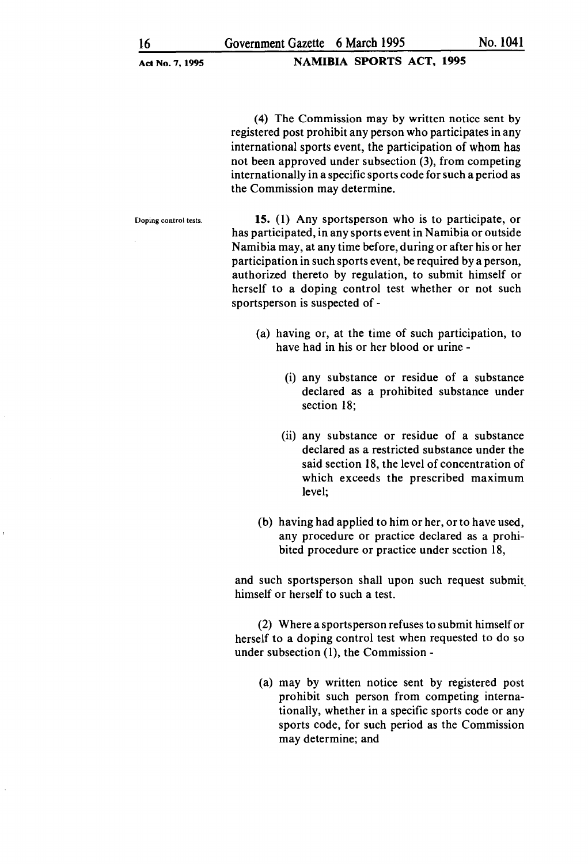#### NAMIBIA SPORTS ACT, 1995

( 4) The Commission may by written notice sent by registered post prohibit any person who participates in any international sports event, the participation of whom has not been approved under subsection (3), from competing internationally in a specific sports code for such a period as the Commission may determine.

Doping control tests.

15. (1) Any sportsperson who is to participate, or has participated, in any sports event in Namibia or outside Namibia may, at any time before, during or after his or her participation in such sports event, be required by a person, authorized thereto by regulation, to submit himself or herself to a doping control test whether or not such sportsperson is suspected of-

- (a) having or, at the time of such participation, to have had in his or her blood or urine -
	- (i) any substance or residue of a substance declared as a prohibited substance under section 18;
	- (ii) any substance or residue of a substance declared as a restricted substance under the said section 18, the level of concentration of which exceeds the prescribed maximum level;
- (b) having had applied to him or her, or to have used, any procedure or practice declared as a prohibited procedure or practice under section 18,

and such sportsperson shall upon such request submit. himself or herself to such a test.

(2) Where a sports person refuses to submit himself or herself to a doping control test when requested to do so under subsection (I), the Commission -

(a) may by written notice sent by registered post prohibit such person from competing internationally, whether in a specific sports code or any sports code, for such period as the Commission may determine; and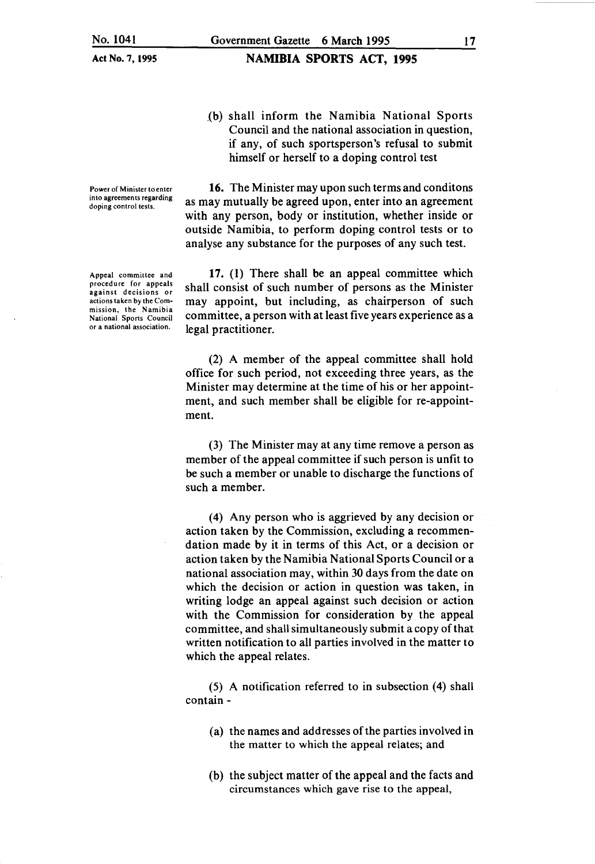Power of Minister to enter into agreements regarding doping control tests.

16. The Minister may upon such terms and conditons as may mutually be agreed upon, enter into an agreement with any person, body or institution, whether inside or

outside Namibia, to perform doping control tests or to analyse any substance for the purposes of any such test.

himself or herself to a doping control test

.(b) shall inform the Namibia National Sports Council and the national association in question, if any, of such sportsperson's refusal to submit

17. (1) There shall be an appeal committee which shall consist of such number of persons as the Minister may appoint, but including, as chairperson of such committee, a person with at least five years experience as a legal practitioner.

(2) A member of the appeal committee shall hold office for such period, not exceeding three years, as the Minister may determine at the time of his or her appointment, and such member shall be eligible for re-appointment.

(3) The Minister may at any time remove a person as member of the appeal committee if such person is unfit to be such a member or unable to discharge the functions of such a member.

(4) Any person who is aggrieved by any decision or action taken by the Commission, excluding a recommendation made by it in terms of this Act, or a decision or action taken by the Namibia National Sports Council or a national association may, within 30 days from the date on which the decision or action in question was taken, in writing lodge an appeal against such decision or action with the Commission for consideration by the appeal committee, and shall simultaneously submit a copy of that written notification to all parties involved in the matter to which the appeal relates.

(5) A notification referred to in subsection (4) shall contain-

- (a) the names and addresses of the parties involved in the matter to which the appeal relates; and
- (b) the subject matter of the appeal and the facts and circumstances which gave rise to the appeal,

Appeal committee and procedure for appeals against decisions or actions taken by the Commission, the Namibia National Sports Council or a national association.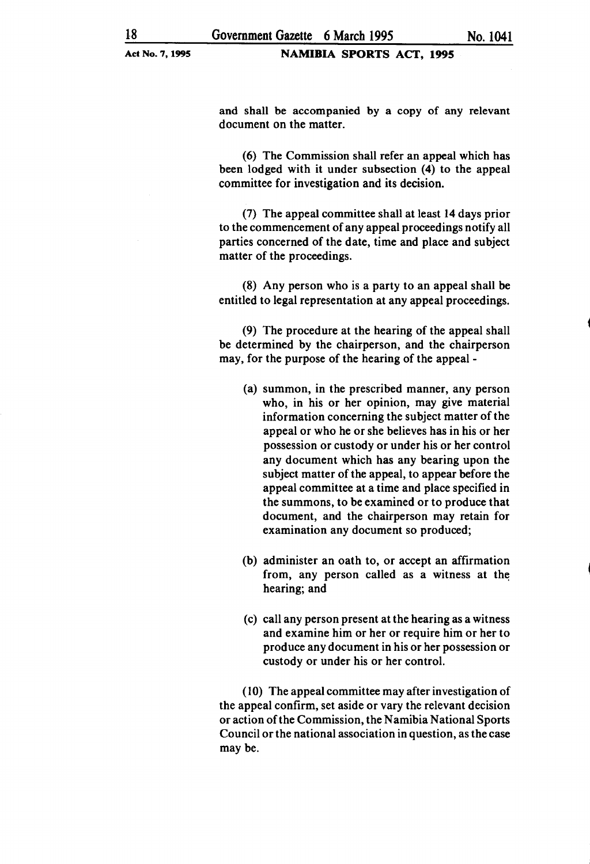and shall be accompanied by a copy of any relevant document on the matter.

(6) The Commission shall refer an appeal which has been lodged with it under subsection (4) to the appeal committee for investigation and its decision.

(7) The appeal committee shall at least 14 days prior to the commencement of any appeal proceedings notify all parties concerned of the date, time and place and subject matter of the proceedings.

(8) Any person who is a party to an appeal shall be entitled to legal representation at any appeal proceedings.

(9) The procedure at the hearing of the appeal shall be determined by the chairperson, and the chairperson may, for the purpose of the hearing of the appeal -

- (a) summon, in the prescribed manner, any person who, in his or her opinion, may give material information concerning the subject matter of the appeal or who he or she believes has in his or her possession or custody or under his or her control any document which has any bearing upon the subject matter of the appeal, to appear before the appeal committee at a time and place specified in the summons, to be examined or to produce that document, and the chairperson may retain for examination any document so produced;
- (b) administer an oath to, or accept an affirmation from, any person called as a witness at the hearing; and
- (c) call any person present at the hearing as a witness and examine him or her or require him or her to produce any document in his or her possession or custody or under his or her control.

(10) The appeal committee may after investigation of the appeal confirm, set aside or vary the relevant decision or action of the Commission, the Namibia National Sports Council or the national association in question, as the case may be.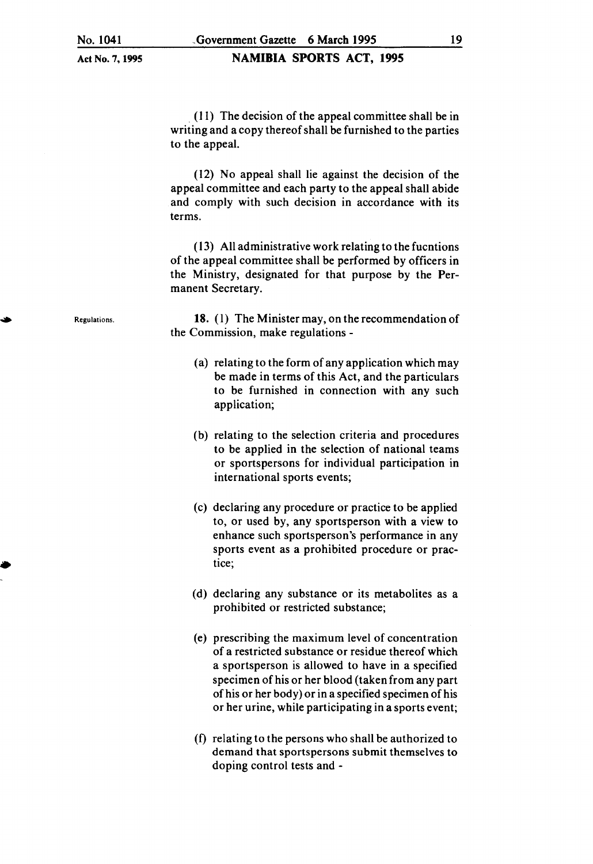#### NAMIBIA SPORTS ACT, 1995

. ( 11) The decision of the appeal committee shall be in writing and a copy thereof shall be furnished to the parties to the appeal.

( 12) No appeal shall lie against the decision of the appeal committee and each party to the appeal shall abide and comply with such decision in accordance with its terms.

( 13) All administrative work relating to the fucntions of the appeal committee shall be performed by officers in the Ministry, designated for that purpose by the Permanent Secretary.

18. (I) The Minister may, on the recommendation of the Commission, make regulations -

- (a) relating to the form of any application which may be made in terms of this Act, and the particulars to be furnished in connection with any such application;
- (b) relating to the selection criteria and procedures to be applied in the selection of national teams or sportspersons for individual participation in international sports events;
- (c) declaring any procedure or practice to be applied to, or used by, any sportsperson with a view to enhance such sportsperson's performance in any sports event as a prohibited procedure or practice;
- (d) declaring any substance or its metabolites as a prohibited or restricted substance;
- (e) prescribing the maximum level of concentration of a restricted substance or residue thereof which a sportsperson is allowed to have in a specified specimen of his or her blood (taken from any part of his or her body) or in a specified specimen of his or her urine, while participating in a sports event;
- (f) relating to the persons who shall be authorized to demand that sportspersons submit themselves to doping control tests and -

Regulations.

•